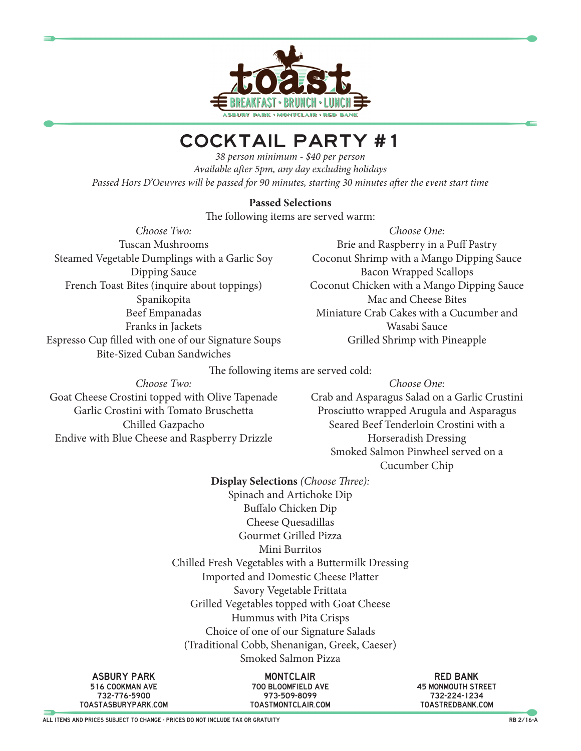

## COCKTAIL PARTY #1

*38 person minimum - \$40 per person Available after 5pm, any day excluding holidays Passed Hors D'Oeuvres will be passed for 90 minutes, starting 30 minutes after the event start time*

## **Passed Selections**

The following items are served warm:

*Choose Two:* Tuscan Mushrooms Steamed Vegetable Dumplings with a Garlic Soy Dipping Sauce French Toast Bites (inquire about toppings) Spanikopita Beef Empanadas Franks in Jackets Espresso Cup filled with one of our Signature Soups Bite-Sized Cuban Sandwiches

*Choose One:* Brie and Raspberry in a Puff Pastry Coconut Shrimp with a Mango Dipping Sauce Bacon Wrapped Scallops Coconut Chicken with a Mango Dipping Sauce Mac and Cheese Bites Miniature Crab Cakes with a Cucumber and Wasabi Sauce Grilled Shrimp with Pineapple

The following items are served cold:

*Choose Two:* Goat Cheese Crostini topped with Olive Tapenade Garlic Crostini with Tomato Bruschetta Chilled Gazpacho Endive with Blue Cheese and Raspberry Drizzle

*Choose One:* Crab and Asparagus Salad on a Garlic Crustini Prosciutto wrapped Arugula and Asparagus Seared Beef Tenderloin Crostini with a Horseradish Dressing Smoked Salmon Pinwheel served on a

Cucumber Chip

**Display Selections** *(Choose Three):* Spinach and Artichoke Dip Buffalo Chicken Dip Cheese Quesadillas Gourmet Grilled Pizza Mini Burritos Chilled Fresh Vegetables with a Buttermilk Dressing Imported and Domestic Cheese Platter Savory Vegetable Frittata Grilled Vegetables topped with Goat Cheese Hummus with Pita Crisps Choice of one of our Signature Salads (Traditional Cobb, Shenanigan, Greek, Caeser) Smoked Salmon Pizza

asbury park 516 cookman ave 732-776-5900 toastasburypark.com

**MONTCLAIR** 700 bloomfield ave 973-509-8099 toastmontclair.com

red bank 45 monmouth street 732-224-1234 toastredbank.com